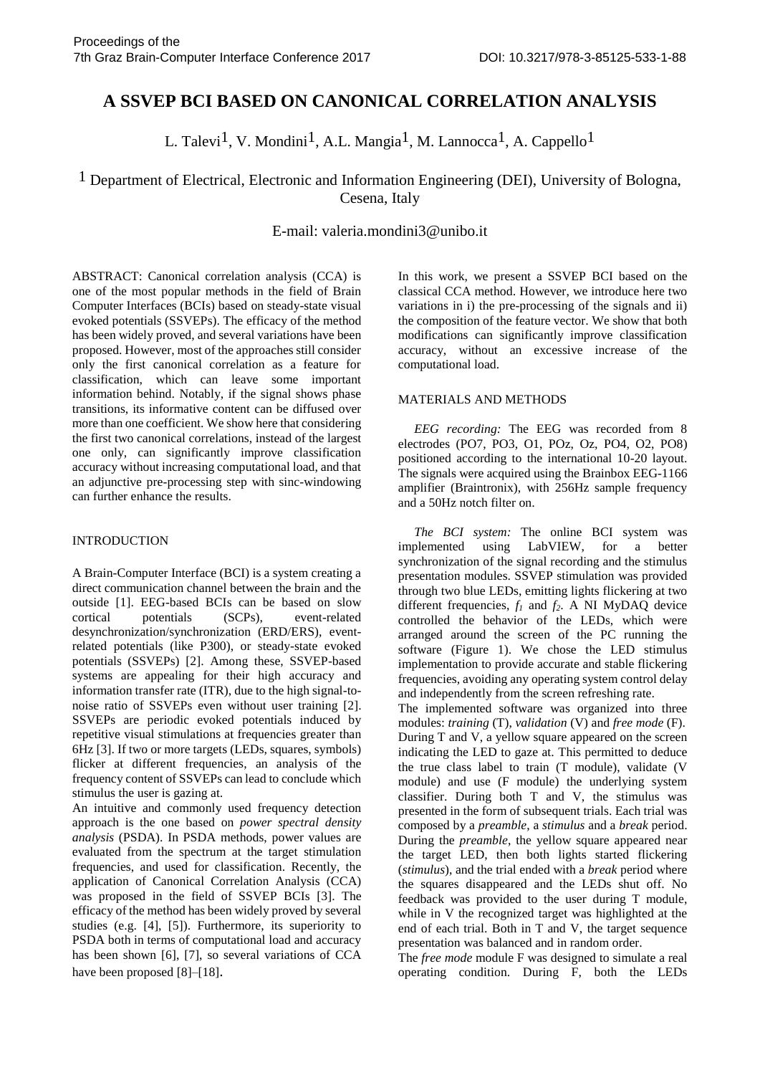# **A SSVEP BCI BASED ON CANONICAL CORRELATION ANALYSIS**

L. Talevi<sup>1</sup>, V. Mondini<sup>1</sup>, A.L. Mangia<sup>1</sup>, M. Lannocca<sup>1</sup>, A. Cappello<sup>1</sup>

<sup>1</sup> Department of Electrical, Electronic and Information Engineering (DEI), University of Bologna, Cesena, Italy

# E-mail: valeria.mondini3@unibo.it

ABSTRACT: Canonical correlation analysis (CCA) is one of the most popular methods in the field of Brain Computer Interfaces (BCIs) based on steady-state visual evoked potentials (SSVEPs). The efficacy of the method has been widely proved, and several variations have been proposed. However, most of the approaches still consider only the first canonical correlation as a feature for classification, which can leave some important information behind. Notably, if the signal shows phase transitions, its informative content can be diffused over more than one coefficient. We show here that considering the first two canonical correlations, instead of the largest one only, can significantly improve classification accuracy without increasing computational load, and that an adjunctive pre-processing step with sinc-windowing can further enhance the results.

### INTRODUCTION

A Brain-Computer Interface (BCI) is a system creating a direct communication channel between the brain and the outside [1]. EEG-based BCIs can be based on slow cortical potentials (SCPs), event-related desynchronization/synchronization (ERD/ERS), eventrelated potentials (like P300), or steady-state evoked potentials (SSVEPs) [2]. Among these, SSVEP-based systems are appealing for their high accuracy and information transfer rate (ITR), due to the high signal-tonoise ratio of SSVEPs even without user training [2]. SSVEPs are periodic evoked potentials induced by repetitive visual stimulations at frequencies greater than 6Hz [3]. If two or more targets (LEDs, squares, symbols) flicker at different frequencies, an analysis of the frequency content of SSVEPs can lead to conclude which stimulus the user is gazing at.

An intuitive and commonly used frequency detection approach is the one based on *power spectral density analysis* (PSDA). In PSDA methods, power values are evaluated from the spectrum at the target stimulation frequencies, and used for classification. Recently, the application of Canonical Correlation Analysis (CCA) was proposed in the field of SSVEP BCIs [3]. The efficacy of the method has been widely proved by several studies (e.g. [4], [5]). Furthermore, its superiority to PSDA both in terms of computational load and accuracy has been shown [6], [7], so several variations of CCA have been proposed [8]–[18].

In this work, we present a SSVEP BCI based on the classical CCA method. However, we introduce here two variations in i) the pre-processing of the signals and ii) the composition of the feature vector. We show that both modifications can significantly improve classification accuracy, without an excessive increase of the computational load.

# MATERIALS AND METHODS

 *EEG recording:* The EEG was recorded from 8 electrodes (PO7, PO3, O1, POz, Oz, PO4, O2, PO8) positioned according to the international 10-20 layout. The signals were acquired using the Brainbox EEG-1166 amplifier (Braintronix), with 256Hz sample frequency and a 50Hz notch filter on.

 *The BCI system:* The online BCI system was implemented using LabVIEW, for a better synchronization of the signal recording and the stimulus presentation modules. SSVEP stimulation was provided through two blue LEDs, emitting lights flickering at two different frequencies, *f1* and *f2*. A NI MyDAQ device controlled the behavior of the LEDs, which were arranged around the screen of the PC running the software (Figure 1). We chose the LED stimulus implementation to provide accurate and stable flickering frequencies, avoiding any operating system control delay and independently from the screen refreshing rate.

The implemented software was organized into three modules: *training* (T), *validation* (V) and *free mode* (F). During T and V, a yellow square appeared on the screen indicating the LED to gaze at. This permitted to deduce the true class label to train (T module), validate (V module) and use (F module) the underlying system classifier. During both T and V, the stimulus was presented in the form of subsequent trials. Each trial was composed by a *preamble*, a *stimulus* and a *break* period. During the *preamble*, the yellow square appeared near the target LED, then both lights started flickering (*stimulus*), and the trial ended with a *break* period where the squares disappeared and the LEDs shut off. No feedback was provided to the user during T module, while in V the recognized target was highlighted at the end of each trial. Both in T and V, the target sequence presentation was balanced and in random order.

The *free mode* module F was designed to simulate a real operating condition. During F, both the LEDs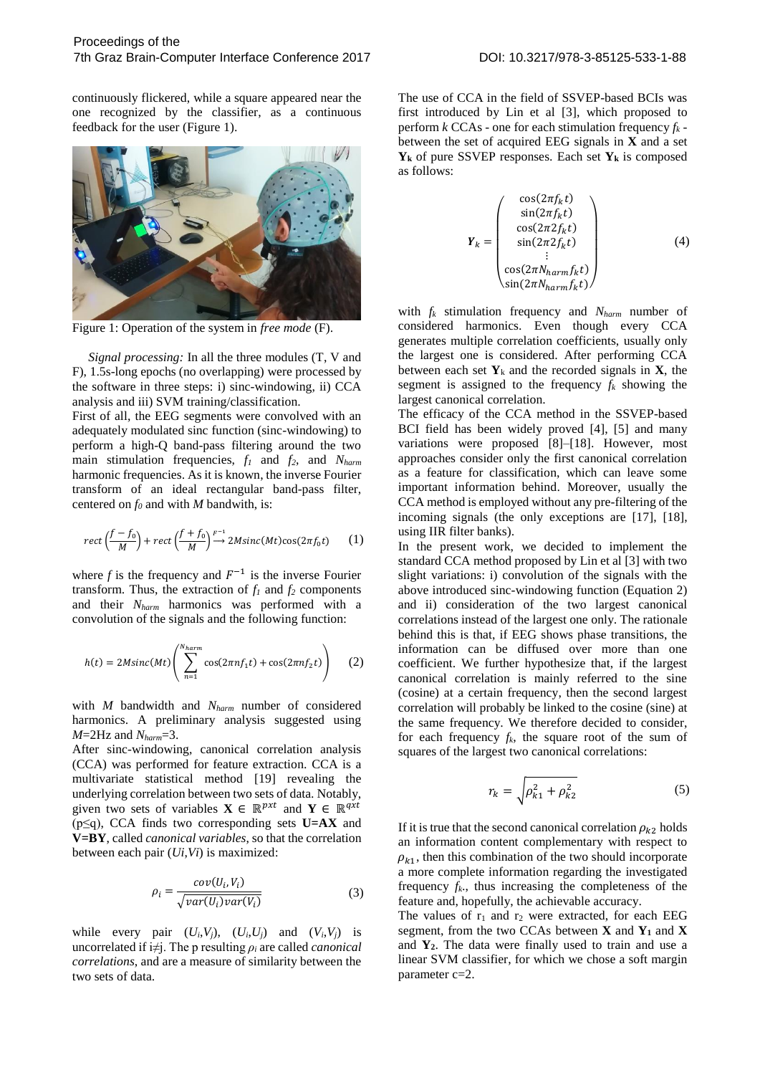continuously flickered, while a square appeared near the one recognized by the classifier, as a continuous feedback for the user (Figure 1).



Figure 1: Operation of the system in *free mode* (F).

 *Signal processing:* In all the three modules (T, V and F), 1.5s-long epochs (no overlapping) were processed by the software in three steps: i) sinc-windowing, ii) CCA analysis and iii) SVM training/classification.

First of all, the EEG segments were convolved with an adequately modulated sinc function (sinc-windowing) to perform a high-Q band-pass filtering around the two main stimulation frequencies, *f1* and *f2*, and *Nharm* harmonic frequencies. As it is known, the inverse Fourier transform of an ideal rectangular band-pass filter, centered on *f0* and with *M* bandwith, is:

$$
rect\left(\frac{f-f_0}{M}\right) + rect\left(\frac{f+f_0}{M}\right) \stackrel{F^{-1}}{\longrightarrow} 2Msinc(Mt)cos(2\pi f_0 t) \tag{1}
$$

where  $f$  is the frequency and  $F^{-1}$  is the inverse Fourier transform. Thus, the extraction of  $f_1$  and  $f_2$  components and their *Nharm* harmonics was performed with a convolution of the signals and the following function:

$$
h(t) = 2M\text{sinc}(Mt) \left( \sum_{n=1}^{N_{harm}} \cos(2\pi n f_1 t) + \cos(2\pi n f_2 t) \right) \tag{2}
$$

with *M* bandwidth and *Nharm* number of considered harmonics. A preliminary analysis suggested using *M*=2Hz and *Nharm*=3.

After sinc-windowing, canonical correlation analysis (CCA) was performed for feature extraction. CCA is a multivariate statistical method [19] revealing the underlying correlation between two sets of data. Notably, given two sets of variables  $X \in \mathbb{R}^{p \times t}$  and  $Y \in \mathbb{R}^{q \times t}$ (p≤q), CCA finds two corresponding sets **U=AX** and **V=BY**, called *canonical variables*, so that the correlation between each pair (*Ui*,*Vi*) is maximized:

$$
\rho_i = \frac{cov(U_i, V_i)}{\sqrt{var(U_i)var(V_i)}}
$$
(3)

while every pair  $(U_i, V_j)$ ,  $(U_i, U_j)$  and  $(V_i, V_j)$  is uncorrelated if  $i \neq j$ . The p resulting  $\rho_i$  are called *canonical correlations*, and are a measure of similarity between the two sets of data.

The use of CCA in the field of SSVEP-based BCIs was first introduced by Lin et al [3], which proposed to perform  $k$  CCAs - one for each stimulation frequency  $f_k$  between the set of acquired EEG signals in **X** and a set **Y<sup>k</sup>** of pure SSVEP responses. Each set **Y<sup>k</sup>** is composed as follows:

$$
\mathbf{Y}_{k} = \begin{pmatrix} \cos(2\pi f_{k}t) \\ \sin(2\pi f_{k}t) \\ \cos(2\pi 2 f_{k}t) \\ \sin(2\pi 2 f_{k}t) \\ \vdots \\ \cos(2\pi N_{harm}f_{k}t) \\ \sin(2\pi N_{harm}f_{k}t) \end{pmatrix}
$$
(4)

with *fk* stimulation frequency and *Nharm* number of considered harmonics. Even though every CCA generates multiple correlation coefficients, usually only the largest one is considered. After performing CCA between each set  $Y_k$  and the recorded signals in **X**, the segment is assigned to the frequency  $f_k$  showing the largest canonical correlation.

The efficacy of the CCA method in the SSVEP-based BCI field has been widely proved [4], [5] and many variations were proposed [8]–[18]. However, most approaches consider only the first canonical correlation as a feature for classification, which can leave some important information behind. Moreover, usually the CCA method is employed without any pre-filtering of the incoming signals (the only exceptions are [17], [18], using IIR filter banks).

In the present work, we decided to implement the standard CCA method proposed by Lin et al [3] with two slight variations: i) convolution of the signals with the above introduced sinc-windowing function (Equation 2) and ii) consideration of the two largest canonical correlations instead of the largest one only. The rationale behind this is that, if EEG shows phase transitions, the information can be diffused over more than one coefficient. We further hypothesize that, if the largest canonical correlation is mainly referred to the sine (cosine) at a certain frequency, then the second largest correlation will probably be linked to the cosine (sine) at the same frequency. We therefore decided to consider, for each frequency  $f_k$ , the square root of the sum of squares of the largest two canonical correlations:

$$
r_k = \sqrt{\rho_{k1}^2 + \rho_{k2}^2} \tag{5}
$$

If it is true that the second canonical correlation  $\rho_{k2}$  holds an information content complementary with respect to  $\rho_{k1}$ , then this combination of the two should incorporate a more complete information regarding the investigated frequency  $f_k$ , thus increasing the completeness of the feature and, hopefully, the achievable accuracy.

The values of  $r_1$  and  $r_2$  were extracted, for each EEG segment, from the two CCAs between **X** and **Y1** and **X** and **Y2**. The data were finally used to train and use a linear SVM classifier, for which we chose a soft margin parameter c=2.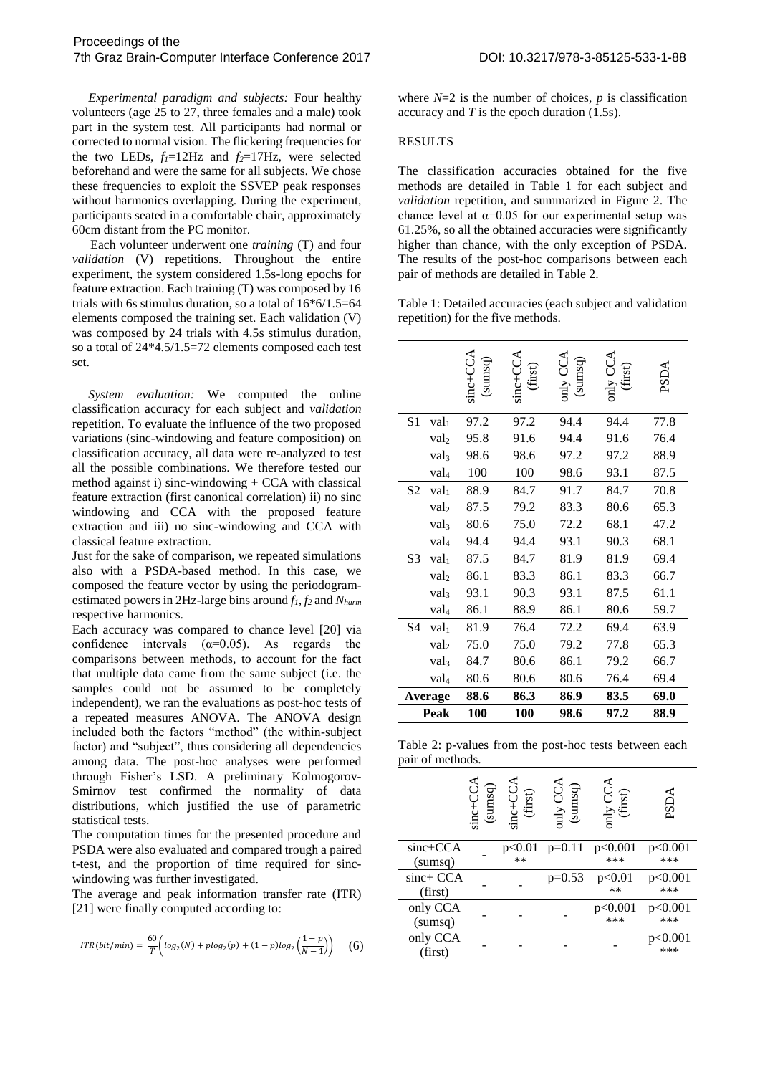*Experimental paradigm and subjects:* Four healthy volunteers (age 25 to 27, three females and a male) took part in the system test. All participants had normal or corrected to normal vision. The flickering frequencies for the two LEDs,  $f_1 = 12Hz$  and  $f_2 = 17Hz$ , were selected beforehand and were the same for all subjects. We chose these frequencies to exploit the SSVEP peak responses without harmonics overlapping. During the experiment, participants seated in a comfortable chair, approximately 60cm distant from the PC monitor.

Each volunteer underwent one *training* (T) and four *validation* (V) repetitions. Throughout the entire experiment, the system considered 1.5s-long epochs for feature extraction. Each training (T) was composed by 16 trials with 6s stimulus duration, so a total of  $16*6/1.5=64$ elements composed the training set. Each validation (V) was composed by 24 trials with 4.5s stimulus duration, so a total of 24\*4.5/1.5=72 elements composed each test set.

 *System evaluation:* We computed the online classification accuracy for each subject and *validation* repetition. To evaluate the influence of the two proposed variations (sinc-windowing and feature composition) on classification accuracy, all data were re-analyzed to test all the possible combinations. We therefore tested our method against i) sinc-windowing  $+$  CCA with classical feature extraction (first canonical correlation) ii) no sinc windowing and CCA with the proposed feature extraction and iii) no sinc-windowing and CCA with classical feature extraction.

Just for the sake of comparison, we repeated simulations also with a PSDA-based method. In this case, we composed the feature vector by using the periodogramestimated powers in 2Hz-large bins around *f1*, *f2* and *Nharm* respective harmonics.

Each accuracy was compared to chance level [20] via confidence intervals  $(\alpha=0.05)$ . As regards the comparisons between methods, to account for the fact that multiple data came from the same subject (i.e. the samples could not be assumed to be completely independent), we ran the evaluations as post-hoc tests of a repeated measures ANOVA. The ANOVA design included both the factors "method" (the within-subject factor) and "subject", thus considering all dependencies among data. The post-hoc analyses were performed through Fisher's LSD. A preliminary Kolmogorov-Smirnov test confirmed the normality of data distributions, which justified the use of parametric statistical tests.

The computation times for the presented procedure and PSDA were also evaluated and compared trough a paired t-test, and the proportion of time required for sincwindowing was further investigated.

The average and peak information transfer rate (ITR) [21] were finally computed according to:

$$
ITR(bit/min)=\frac{60}{T}\bigg(log_2(N)+plog_2(p)+(1-p)log_2\Big(\frac{1-p}{N-1}\Big)\bigg)\quad \ \ (6)
$$

where  $N=2$  is the number of choices,  $p$  is classification accuracy and *T* is the epoch duration (1.5s).

#### RESULTS

The classification accuracies obtained for the five methods are detailed in Table 1 for each subject and *validation* repetition, and summarized in Figure 2. The chance level at  $\alpha$ =0.05 for our experimental setup was 61.25%, so all the obtained accuracies were significantly higher than chance, with the only exception of PSDA. The results of the post-hoc comparisons between each pair of methods are detailed in Table 2.

Table 1: Detailed accuracies (each subject and validation repetition) for the five methods.

|                |                  | sinc+CCA<br>(sums) | (first)<br>$510 + 10$ | sumsq<br>$\sum_{\text{N} \mid \text{LO}}$ | first)<br>$\sum_{i=1}^{n}$ | PSD  |
|----------------|------------------|--------------------|-----------------------|-------------------------------------------|----------------------------|------|
| S1             | val <sub>1</sub> | 97.2               | 97.2                  | 94.4                                      | 94.4                       | 77.8 |
|                | val              | 95.8               | 91.6                  | 94.4                                      | 91.6                       | 76.4 |
|                | val <sub>3</sub> | 98.6               | 98.6                  | 97.2                                      | 97.2                       | 88.9 |
|                | val <sub>4</sub> | 100                | 100                   | 98.6                                      | 93.1                       | 87.5 |
| S <sub>2</sub> | val <sub>1</sub> | 88.9               | 84.7                  | 91.7                                      | 84.7                       | 70.8 |
|                | val              | 87.5               | 79.2                  | 83.3                                      | 80.6                       | 65.3 |
|                | val <sub>3</sub> | 80.6               | 75.0                  | 72.2                                      | 68.1                       | 47.2 |
|                | val <sub>4</sub> | 94.4               | 94.4                  | 93.1                                      | 90.3                       | 68.1 |
| S3             | val <sub>1</sub> | 87.5               | 84.7                  | 81.9                                      | 81.9                       | 69.4 |
|                | val              | 86.1               | 83.3                  | 86.1                                      | 83.3                       | 66.7 |
|                | val <sub>3</sub> | 93.1               | 90.3                  | 93.1                                      | 87.5                       | 61.1 |
|                | val <sub>4</sub> | 86.1               | 88.9                  | 86.1                                      | 80.6                       | 59.7 |
| S <sub>4</sub> | val <sub>1</sub> | 81.9               | 76.4                  | 72.2                                      | 69.4                       | 63.9 |
|                | val              | 75.0               | 75.0                  | 79.2                                      | 77.8                       | 65.3 |
|                | val <sub>3</sub> | 84.7               | 80.6                  | 86.1                                      | 79.2                       | 66.7 |
|                | val <sub>4</sub> | 80.6               | 80.6                  | 80.6                                      | 76.4                       | 69.4 |
| Average        |                  | 88.6               | 86.3                  | 86.9                                      | 83.5                       | 69.0 |
| Peak           |                  | 100                | 100                   | 98.6                                      | 97.2                       | 88.9 |

Table 2: p-values from the post-hoc tests between each pair of methods.

|                      | $sinc+CC$<br>(sumsq) | A,<br>$sinc+CC$<br>(first) | pnly CC <sup>4</sup><br>(sumsq) | mly UU<br>(first) | PSDA                |
|----------------------|----------------------|----------------------------|---------------------------------|-------------------|---------------------|
| sinc+CCA<br>(sumsq)  |                      | $**$                       | $p<0.01$ $p=0.11$               | p<0.001<br>***    | p<0.001<br>***      |
| sinc+ CCA<br>(first) |                      |                            | $p=0.53$                        | p<0.01<br>$**$    | p<0.001<br>***      |
| only CCA<br>(sumsq)  |                      |                            |                                 | p<0.001<br>***    | p<0.001<br>***      |
| only CCA<br>(first)  |                      |                            |                                 |                   | $<\!\!0.001$<br>*** |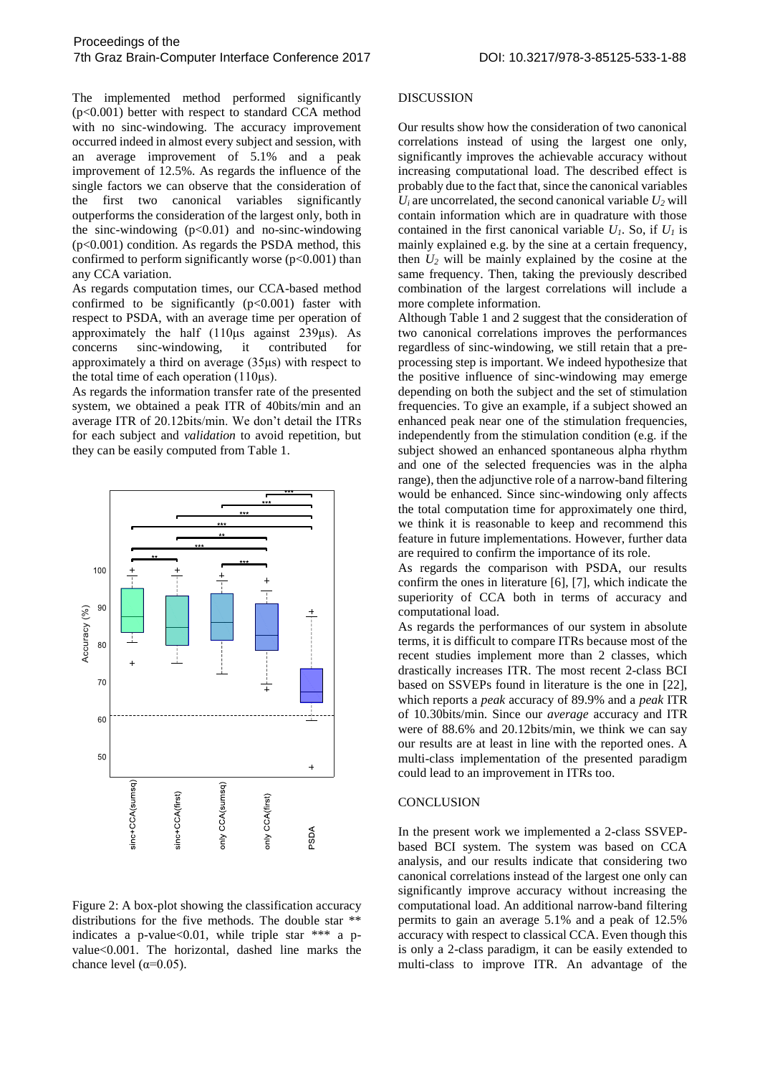The implemented method performed significantly (p<0.001) better with respect to standard CCA method with no sinc-windowing. The accuracy improvement occurred indeed in almost every subject and session, with an average improvement of 5.1% and a peak improvement of 12.5%. As regards the influence of the single factors we can observe that the consideration of the first two canonical variables significantly outperforms the consideration of the largest only, both in the sinc-windowing  $(p<0.01)$  and no-sinc-windowing (p<0.001) condition. As regards the PSDA method, this confirmed to perform significantly worse  $(p<0.001)$  than any CCA variation.

As regards computation times, our CCA-based method confirmed to be significantly  $(p<0.001)$  faster with respect to PSDA, with an average time per operation of approximately the half (110μs against 239μs). As concerns sinc-windowing, it contributed for approximately a third on average (35μs) with respect to the total time of each operation (110μs).

As regards the information transfer rate of the presented system, we obtained a peak ITR of 40bits/min and an average ITR of 20.12bits/min. We don't detail the ITRs for each subject and *validation* to avoid repetition, but they can be easily computed from Table 1.



Figure 2: A box-plot showing the classification accuracy distributions for the five methods. The double star \*\* indicates a p-value  $0.01$ , while triple star \*\*\* a pvalue<0.001. The horizontal, dashed line marks the chance level ( $\alpha$ =0.05).

#### DISCUSSION

Our results show how the consideration of two canonical correlations instead of using the largest one only, significantly improves the achievable accuracy without increasing computational load. The described effect is probably due to the fact that, since the canonical variables  $U_i$  are uncorrelated, the second canonical variable  $U_2$  will contain information which are in quadrature with those contained in the first canonical variable  $U_I$ . So, if  $U_I$  is mainly explained e.g. by the sine at a certain frequency, then  $U_2$  will be mainly explained by the cosine at the same frequency. Then, taking the previously described combination of the largest correlations will include a more complete information.

Although Table 1 and 2 suggest that the consideration of two canonical correlations improves the performances regardless of sinc-windowing, we still retain that a preprocessing step is important. We indeed hypothesize that the positive influence of sinc-windowing may emerge depending on both the subject and the set of stimulation frequencies. To give an example, if a subject showed an enhanced peak near one of the stimulation frequencies, independently from the stimulation condition (e.g. if the subject showed an enhanced spontaneous alpha rhythm and one of the selected frequencies was in the alpha range), then the adjunctive role of a narrow-band filtering would be enhanced. Since sinc-windowing only affects the total computation time for approximately one third, we think it is reasonable to keep and recommend this feature in future implementations. However, further data are required to confirm the importance of its role.

As regards the comparison with PSDA, our results confirm the ones in literature [6], [7], which indicate the superiority of CCA both in terms of accuracy and computational load.

As regards the performances of our system in absolute terms, it is difficult to compare ITRs because most of the recent studies implement more than 2 classes, which drastically increases ITR. The most recent 2-class BCI based on SSVEPs found in literature is the one in [22], which reports a *peak* accuracy of 89.9% and a *peak* ITR of 10.30bits/min. Since our *average* accuracy and ITR were of 88.6% and 20.12bits/min, we think we can say our results are at least in line with the reported ones. A multi-class implementation of the presented paradigm could lead to an improvement in ITRs too.

## **CONCLUSION**

In the present work we implemented a 2-class SSVEPbased BCI system. The system was based on CCA analysis, and our results indicate that considering two canonical correlations instead of the largest one only can significantly improve accuracy without increasing the computational load. An additional narrow-band filtering permits to gain an average 5.1% and a peak of 12.5% accuracy with respect to classical CCA. Even though this is only a 2-class paradigm, it can be easily extended to multi-class to improve ITR. An advantage of the